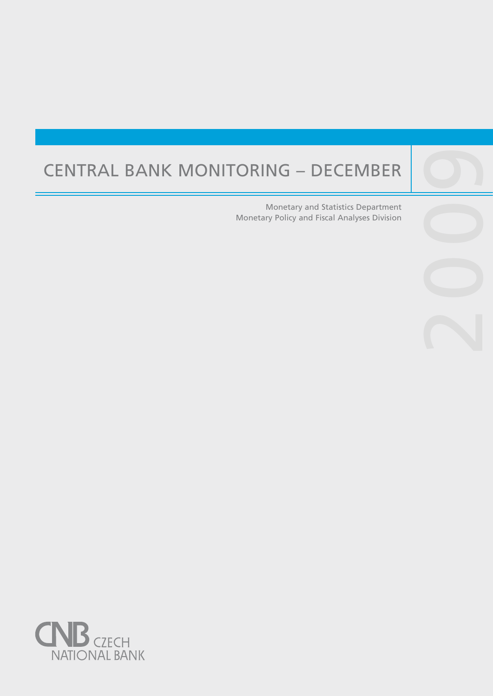# Central Bank Monitoring – December

Central banks are not universities and one would

purpose, such as, to lay the ground for the satisfac-

Monetary and Statistics Department Monetary Policy and Fiscal Analyses Division

200

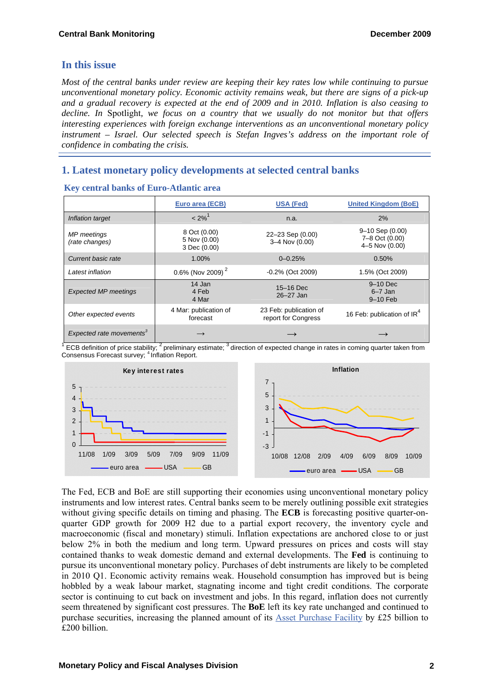## **In this issue**

*Most of the central banks under review are keeping their key rates low while continuing to pursue unconventional monetary policy. Economic activity remains weak, but there are signs of a pick-up and a gradual recovery is expected at the end of 2009 and in 2010. Inflation is also ceasing to decline. In* Spotlight*, we focus on a country that we usually do not monitor but that offers interesting experiences with foreign exchange interventions as an unconventional monetary policy instrument – Israel. Our selected speech is Stefan Ingves's address on the important role of confidence in combating the crisis.* 

# **1. Latest monetary policy developments at selected central banks**

|                                      | Euro area (ECB)                              | <b>USA (Fed)</b>                              | <b>United Kingdom (BoE)</b>                               |
|--------------------------------------|----------------------------------------------|-----------------------------------------------|-----------------------------------------------------------|
| Inflation target                     | $< 2\%$ <sup>1</sup>                         | n.a.                                          | 2%                                                        |
| MP meetings<br>(rate changes)        | 8 Oct (0.00)<br>5 Nov (0.00)<br>3 Dec (0.00) | 22-23 Sep (0.00)<br>3-4 Nov (0.00)            | $9 - 10$ Sep $(0.00)$<br>7-8 Oct (0.00)<br>4-5 Nov (0.00) |
| Current basic rate                   | 1.00%                                        | $0 - 0.25%$                                   | 0.50%                                                     |
| Latest inflation                     | 0.6% (Nov 2009) <sup>2</sup>                 | $-0.2\%$ (Oct 2009)                           | 1.5% (Oct 2009)                                           |
| <b>Expected MP meetings</b>          | 14 Jan<br>4 Feb<br>4 Mar                     | 15-16 Dec<br>26-27 Jan                        | $9-10$ Dec<br>$6 - 7$ Jan<br>$9-10$ Feb                   |
| Other expected events                | 4 Mar: publication of<br>forecast            | 23 Feb: publication of<br>report for Congress | 16 Feb: publication of IR <sup>4</sup>                    |
| Expected rate movements <sup>3</sup> |                                              |                                               |                                                           |

**Key central banks of Euro-Atlantic area** 

<sup>1</sup> ECB definition of price stability; <sup>2</sup> preliminary estimate;  $3$  direction of expected change in rates in coming quarter taken from Consensus Forecast survey; <sup>4</sup> Inflation Report.



The Fed, ECB and BoE are still supporting their economies using unconventional monetary policy instruments and low interest rates. Central banks seem to be merely outlining possible exit strategies without giving specific details on timing and phasing. The **ECB** is forecasting positive quarter-onquarter GDP growth for 2009 H2 due to a partial export recovery, the inventory cycle and macroeconomic (fiscal and monetary) stimuli. Inflation expectations are anchored close to or just below 2% in both the medium and long term. Upward pressures on prices and costs will stay contained thanks to weak domestic demand and external developments. The **Fed** is continuing to pursue its unconventional monetary policy. Purchases of debt instruments are likely to be completed in 2010 Q1. Economic activity remains weak. Household consumption has improved but is being hobbled by a weak labour market, stagnating income and tight credit conditions. The corporate sector is continuing to cut back on investment and jobs. In this regard, inflation does not currently seem threatened by significant cost pressures. The **BoE** left its key rate unchanged and continued to purchase securities, increasing the planned amount of its [Asset Purchase Facility](http://www.bankofengland.co.uk/markets/apf/index.htm) by £25 billion to £200 billion.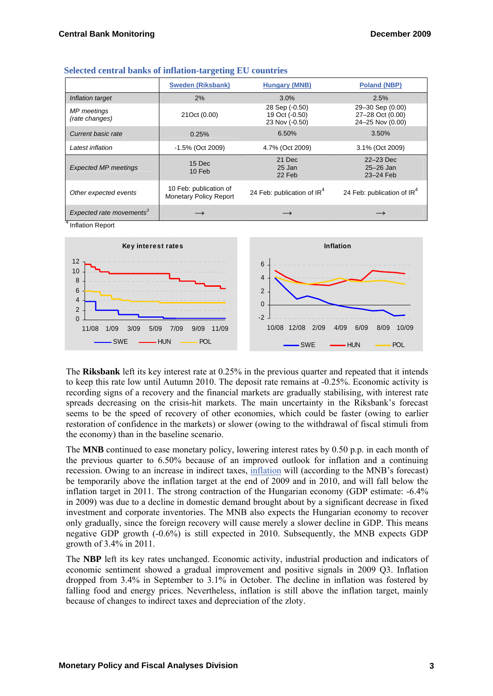|                                      | <b>Sweden (Riksbank)</b>                                | <b>Hungary (MNB)</b>                               | <b>Poland (NBP)</b>                                      |
|--------------------------------------|---------------------------------------------------------|----------------------------------------------------|----------------------------------------------------------|
| Inflation target                     | 2%                                                      | 3.0%                                               | 2.5%                                                     |
| <b>MP</b> meetings<br>(rate changes) | 21Oct (0.00)                                            | 28 Sep (-0.50)<br>19 Oct (-0.50)<br>23 Nov (-0.50) | 29-30 Sep (0.00)<br>27-28 Oct (0.00)<br>24-25 Nov (0.00) |
| Current basic rate                   | 0.25%                                                   | 6.50%                                              | 3.50%                                                    |
| Latest inflation                     | -1.5% (Oct 2009)                                        | 4.7% (Oct 2009)                                    | 3.1% (Oct 2009)                                          |
| <b>Expected MP meetings</b>          | 15 Dec<br>10 Feb                                        | 21 Dec<br>25 Jan<br>22 Feb                         | 22-23 Dec<br>$25 - 26$ Jan<br>23-24 Feb                  |
| Other expected events                | 10 Feb: publication of<br><b>Monetary Policy Report</b> | 24 Feb: publication of IR <sup>4</sup>             | 24 Feb: publication of IR <sup>4</sup>                   |
| Expected rate movements <sup>3</sup> |                                                         |                                                    |                                                          |

| <b>Selected central banks of inflation-targeting EU countries</b> |  |  |  |
|-------------------------------------------------------------------|--|--|--|
|-------------------------------------------------------------------|--|--|--|

<sup>4</sup> Inflation Report



The **Riksbank** left its key interest rate at 0.25% in the previous quarter and repeated that it intends to keep this rate low until Autumn 2010. The deposit rate remains at -0.25%. Economic activity is recording signs of a recovery and the financial markets are gradually stabilising, with interest rate spreads decreasing on the crisis-hit markets. The main uncertainty in the Riksbank's forecast seems to be the speed of recovery of other economies, which could be faster (owing to earlier restoration of confidence in the markets) or slower (owing to the withdrawal of fiscal stimuli from the economy) than in the baseline scenario.

The **MNB** continued to ease monetary policy, lowering interest rates by 0.50 p.p. in each month of the previous quarter to 6.50% because of an improved outlook for inflation and a continuing recession. Owing to an increase in indirect taxes, [inflation](http://english.mnb.hu/engine.aspx?page=mnben_prognozis) will (according to the MNB's forecast) be temporarily above the inflation target at the end of 2009 and in 2010, and will fall below the inflation target in 2011. The strong contraction of the Hungarian economy (GDP estimate: -6.4% in 2009) was due to a decline in domestic demand brought about by a significant decrease in fixed investment and corporate inventories. The MNB also expects the Hungarian economy to recover only gradually, since the foreign recovery will cause merely a slower decline in GDP. This means negative GDP growth (-0.6%) is still expected in 2010. Subsequently, the MNB expects GDP growth of 3.4% in 2011.

The **NBP** left its key rates unchanged. Economic activity, industrial production and indicators of economic sentiment showed a gradual improvement and positive signals in 2009 Q3. Inflation dropped from 3.4% in September to 3.1% in October. The decline in inflation was fostered by falling food and energy prices. Nevertheless, inflation is still above the inflation target, mainly because of changes to indirect taxes and depreciation of the zloty.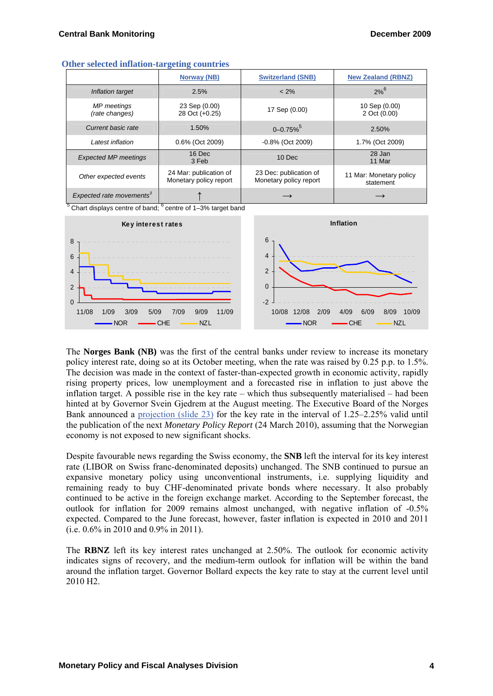| Uther selected inhation talgeting countries |                                                  |                                                  |                                      |  |  |  |
|---------------------------------------------|--------------------------------------------------|--------------------------------------------------|--------------------------------------|--|--|--|
|                                             | Norway (NB)                                      | <b>Switzerland (SNB)</b>                         | <b>New Zealand (RBNZ)</b>            |  |  |  |
| Inflation target                            | 2.5%                                             | $< 2\%$                                          | $2%^{6}$                             |  |  |  |
| MP meetings<br>(rate changes)               | 23 Sep (0.00)<br>28 Oct (+0.25)                  | 17 Sep (0.00)                                    | 10 Sep (0.00)<br>2 Oct (0.00)        |  |  |  |
| Current basic rate                          | 1.50%                                            | $0 - 0.75\%$ <sup>5</sup>                        | 2.50%                                |  |  |  |
| Latest inflation                            | 0.6% (Oct 2009)                                  | $-0.8\%$ (Oct 2009)                              | 1.7% (Oct 2009)                      |  |  |  |
| <b>Expected MP meetings</b>                 | 16 Dec<br>3 Feb                                  | 10 Dec                                           | 28 Jan<br>11 Mar                     |  |  |  |
| Other expected events                       | 24 Mar: publication of<br>Monetary policy report | 23 Dec: publication of<br>Monetary policy report | 11 Mar: Monetary policy<br>statement |  |  |  |
| Expected rate movements <sup>3</sup>        |                                                  | $\longrightarrow$                                |                                      |  |  |  |

#### **Other selected inflation-targeting countries**

 $5$  Chart displays centre of band;  $6$  centre of 1–3% target band



The **Norges Bank (NB)** was the first of the central banks under review to increase its monetary policy interest rate, doing so at its October meeting, when the rate was raised by 0.25 p.p. to 1.5%. The decision was made in the context of faster-than-expected growth in economic activity, rapidly rising property prices, low unemployment and a forecasted rise in inflation to just above the inflation target. A possible rise in the key rate – which thus subsequently materialised – had been hinted at by Governor Svein Gjedrem at the August meeting. The Executive Board of the Norges Bank announced a [projection \(slide 23\)](http://www.norges-bank.no/upload/77313/charts_mpr_28_10_2009.pdf) for the key rate in the interval of 1.25–2.25% valid until the publication of the next *Monetary Policy Report* (24 March 2010), assuming that the Norwegian economy is not exposed to new significant shocks.

Despite favourable news regarding the Swiss economy, the **SNB** left the interval for its key interest rate (LIBOR on Swiss franc-denominated deposits) unchanged. The SNB continued to pursue an expansive monetary policy using unconventional instruments, i.e. supplying liquidity and remaining ready to buy CHF-denominated private bonds where necessary. It also probably continued to be active in the foreign exchange market. According to the September forecast, the outlook for inflation for 2009 remains almost unchanged, with negative inflation of -0.5% expected. Compared to the June forecast, however, faster inflation is expected in 2010 and 2011 (i.e. 0.6% in 2010 and 0.9% in 2011).

The **RBNZ** left its key interest rates unchanged at 2.50%. The outlook for economic activity indicates signs of recovery, and the medium-term outlook for inflation will be within the band around the inflation target. Governor Bollard expects the key rate to stay at the current level until 2010 H2.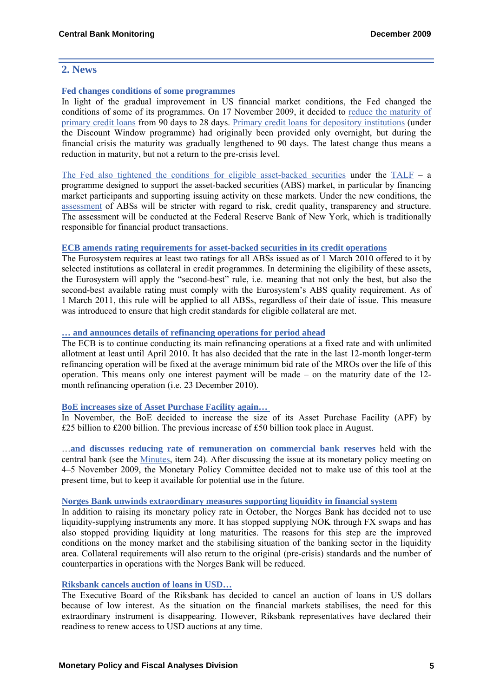## **2. News**

#### **Fed changes conditions of some programmes**

In light of the gradual improvement in US financial market conditions, the Fed changed the conditions of some of its programmes. On 17 November 2009, it decided to [reduce the maturity of](http://www.federalreserve.gov/newsevents/press/monetary/20091117b.htm)  [primary credit loans](http://www.federalreserve.gov/newsevents/press/monetary/20091117b.htm) from 90 days to 28 days. [Primary credit loans for depository institutions](http://www.frbdiscountwindow.org/programs.cfm?hdrID=14) (under the Discount Window programme) had originally been provided only overnight, but during the financial crisis the maturity was gradually lengthened to 90 days. The latest change thus means a reduction in maturity, but not a return to the pre-crisis level.

[The Fed also tightened the conditions for eligible asset-backed securities](http://www.federalreserve.gov/newsevents/press/monetary/20091005b.htm) under the  $TALF - a$  $TALF - a$ programme designed to support the asset-backed securities (ABS) market, in particular by financing market participants and supporting issuing activity on these markets. Under the new conditions, the [assessment](http://www.ny.frb.org/markets/talf/Risk_Assessment_Principles.pdf) of ABSs will be stricter with regard to risk, credit quality, transparency and structure. The assessment will be conducted at the Federal Reserve Bank of New York, which is traditionally responsible for financial product transactions.

#### **[ECB amends rating requirements for asset-backed securities in its credit operations](http://www.ecb.int/press/pr/date/2009/html/pr091120.en.html)**

The Eurosystem requires at least two ratings for all ABSs issued as of 1 March 2010 offered to it by selected institutions as collateral in credit programmes. In determining the eligibility of these assets, the Eurosystem will apply the "second-best" rule, i.e. meaning that not only the best, but also the second-best available rating must comply with the Eurosystem's ABS quality requirement. As of 1 March 2011, this rule will be applied to all ABSs, regardless of their date of issue. This measure was introduced to ensure that high credit standards for eligible collateral are met.

#### **[… and announces details of refinancing operations for period ahead](http://www.ecb.int/press/pr/date/2009/html/pr091203_1.en.html)**

The ECB is to continue conducting its main refinancing operations at a fixed rate and with unlimited allotment at least until April 2010. It has also decided that the rate in the last 12-month longer-term refinancing operation will be fixed at the average minimum bid rate of the MROs over the life of this operation. This means only one interest payment will be made – on the maturity date of the 12 month refinancing operation (i.e. 23 December 2010).

#### **[BoE increases size of Asset Purchase Facility again…](http://www.bankofengland.co.uk/publications/news/2009/081.htm)**

In November, the BoE decided to increase the size of its Asset Purchase Facility (APF) by £25 billion to £200 billion. The previous increase of £50 billion took place in August.

…**and discusses reducing rate of remuneration on commercial bank reserves** held with the central bank (see the [Minutes](http://www.bankofengland.co.uk/publications/minutes/mpc/pdf/2009/mpc0911.pdf), item 24). After discussing the issue at its monetary policy meeting on 4–5 November 2009, the Monetary Policy Committee decided not to make use of this tool at the present time, but to keep it available for potential use in the future.

#### **[Norges Bank unwinds extraordinary measures supporting liquidity in financial system](http://www.norges-bank.no/upload/77313/charts_mpr_28_10_2009.pdf)**

In addition to raising its monetary policy rate in October, the Norges Bank has decided not to use liquidity-supplying instruments any more. It has stopped supplying NOK through FX swaps and has also stopped providing liquidity at long maturities. The reasons for this step are the improved conditions on the money market and the stabilising situation of the banking sector in the liquidity area. Collateral requirements will also return to the original (pre-crisis) standards and the number of counterparties in operations with the Norges Bank will be reduced.

#### **[Riksbank cancels auction of loans in USD…](http://www.riksbank.com/templates/Page.aspx?id=42589)**

The Executive Board of the Riksbank has decided to cancel an auction of loans in US dollars because of low interest. As the situation on the financial markets stabilises, the need for this extraordinary instrument is disappearing. However, Riksbank representatives have declared their readiness to renew access to USD auctions at any time.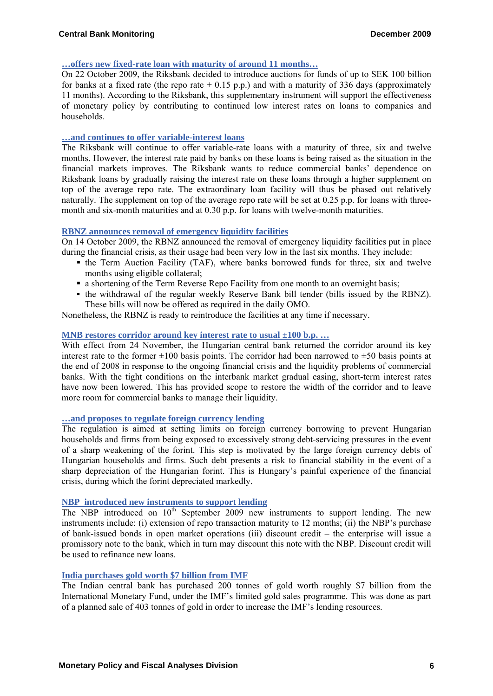#### **[…offers new fixed-rate loan with maturity of around 11 months…](http://www.riksbank.com/pagefolders/43070/nr92e.pdf)**

On 22 October 2009, the Riksbank decided to introduce auctions for funds of up to SEK 100 billion for banks at a fixed rate (the repo rate  $+ 0.15$  p.p.) and with a maturity of 336 days (approximately 11 months). According to the Riksbank, this supplementary instrument will support the effectiveness of monetary policy by contributing to continued low interest rates on loans to companies and households.

#### **[…and continues to offer variable-interest loans](http://www.riksbank.com/templates/Page.aspx?id=42460)**

The Riksbank will continue to offer variable-rate loans with a maturity of three, six and twelve months. However, the interest rate paid by banks on these loans is being raised as the situation in the financial markets improves. The Riksbank wants to reduce commercial banks' dependence on Riksbank loans by gradually raising the interest rate on these loans through a higher supplement on top of the average repo rate. The extraordinary loan facility will thus be phased out relatively naturally. The supplement on top of the average repo rate will be set at  $0.25$  p.p. for loans with threemonth and six-month maturities and at 0.30 p.p. for loans with twelve-month maturities.

#### **[RBNZ announces removal of emergency liquidity facilities](http://www.rbnz.govt.nz/news/2009/3771500.html)**

On 14 October 2009, the RBNZ announced the removal of emergency liquidity facilities put in place during the financial crisis, as their usage had been very low in the last six months. They include:

- the Term Auction Facility (TAF), where banks borrowed funds for three, six and twelve months using eligible collateral;
- a shortening of the Term Reverse Repo Facility from one month to an overnight basis;
- the withdrawal of the regular weekly Reserve Bank bill tender (bills issued by the RBNZ). These bills will now be offered as required in the daily OMO.

Nonetheless, the RBNZ is ready to reintroduce the facilities at any time if necessary.

#### **[MNB restores corridor around key interest rate to usual ±100 b.p. …](http://english.mnb.hu/Engine.aspx?page=mnben_monet_kozlem&ContentID=13409)**

With effect from 24 November, the Hungarian central bank returned the corridor around its key interest rate to the former  $\pm 100$  basis points. The corridor had been narrowed to  $\pm 50$  basis points at the end of 2008 in response to the ongoing financial crisis and the liquidity problems of commercial banks. With the tight conditions on the interbank market gradual easing, short-term interest rates have now been lowered. This has provided scope to restore the width of the corridor and to leave more room for commercial banks to manage their liquidity.

#### **[…and proposes to regulate foreign currency lending](http://english.mnb.hu/Engine.aspx?page=mnben_pressreleases_2009&ContentID=13188)**

The regulation is aimed at setting limits on foreign currency borrowing to prevent Hungarian households and firms from being exposed to excessively strong debt-servicing pressures in the event of a sharp weakening of the forint. This step is motivated by the large foreign currency debts of Hungarian households and firms. Such debt presents a risk to financial stability in the event of a sharp depreciation of the Hungarian forint. This is Hungary's painful experience of the financial crisis, during which the forint depreciated markedly.

#### **[NBP introduced new instruments to support lending](http://www.nbp.pl/homen.aspx?f=/en/aktualnosci/2009/krynica.html)**

The NBP introduced on  $10<sup>th</sup>$  September 2009 new instruments to support lending. The new instruments include: (i) extension of repo transaction maturity to 12 months; (ii) the NBP's purchase of bank-issued bonds in open market operations (iii) discount credit – the enterprise will issue a promissory note to the bank, which in turn may discount this note with the NBP. Discount credit will be used to refinance new loans.

#### **[India purchases gold worth \\$7 billion from IMF](http://rbidocs.rbi.org.in/rdocs/PressRelease/PDFs/IEPR653.pdf)**

The Indian central bank has purchased 200 tonnes of gold worth roughly \$7 billion from the International Monetary Fund, under the IMF's limited gold sales programme. This was done as part of a planned sale of 403 tonnes of gold in order to increase the IMF's lending resources.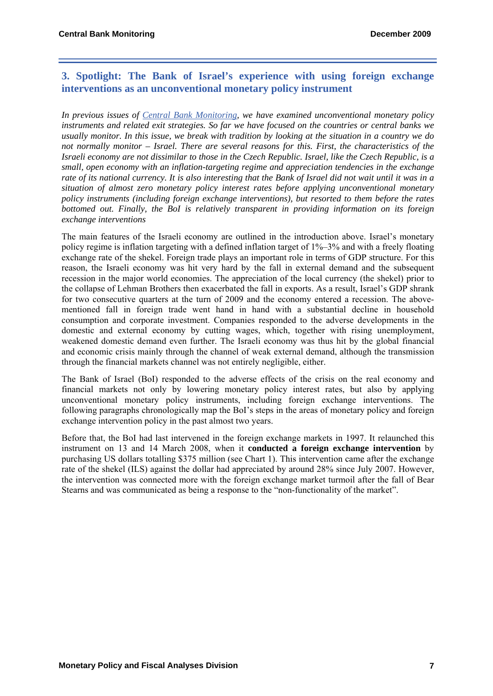## **3. Spotlight: The Bank of Israel's experience with using foreign exchange interventions as an unconventional monetary policy instrument**

*In previous issues of [Central Bank Monitoring](http://www.cnb.cz/cs/menova_politika/monitoring_centralnich_bank/index.html), we have examined unconventional monetary policy instruments and related exit strategies. So far we have focused on the countries or central banks we usually monitor. In this issue, we break with tradition by looking at the situation in a country we do not normally monitor – Israel. There are several reasons for this. First, the characteristics of the Israeli economy are not dissimilar to those in the Czech Republic. Israel, like the Czech Republic, is a small, open economy with an inflation-targeting regime and appreciation tendencies in the exchange rate of its national currency. It is also interesting that the Bank of Israel did not wait until it was in a situation of almost zero monetary policy interest rates before applying unconventional monetary policy instruments (including foreign exchange interventions), but resorted to them before the rates bottomed out. Finally, the BoI is relatively transparent in providing information on its foreign exchange interventions*

The main features of the Israeli economy are outlined in the introduction above. Israel's monetary policy regime is inflation targeting with a defined inflation target of 1%–3% and with a freely floating exchange rate of the shekel. Foreign trade plays an important role in terms of GDP structure. For this reason, the Israeli economy was hit very hard by the fall in external demand and the subsequent recession in the major world economies. The appreciation of the local currency (the shekel) prior to the collapse of Lehman Brothers then exacerbated the fall in exports. As a result, Israel's GDP shrank for two consecutive quarters at the turn of 2009 and the economy entered a recession. The abovementioned fall in foreign trade went hand in hand with a substantial decline in household consumption and corporate investment. Companies responded to the adverse developments in the domestic and external economy by cutting wages, which, together with rising unemployment, weakened domestic demand even further. The Israeli economy was thus hit by the global financial and economic crisis mainly through the channel of weak external demand, although the transmission through the financial markets channel was not entirely negligible, either.

The Bank of Israel (BoI) responded to the adverse effects of the crisis on the real economy and financial markets not only by lowering monetary policy interest rates, but also by applying unconventional monetary policy instruments, including foreign exchange interventions. The following paragraphs chronologically map the BoI's steps in the areas of monetary policy and foreign exchange intervention policy in the past almost two years.

Before that, the BoI had last intervened in the foreign exchange markets in 1997. It relaunched this instrument on 13 and 14 March 2008, when it **conducted a foreign exchange intervention** by purchasing US dollars totalling \$375 million (see Chart 1). This intervention came after the exchange rate of the shekel (ILS) against the dollar had appreciated by around 28% since July 2007. However, the intervention was connected more with the foreign exchange market turmoil after the fall of Bear Stearns and was communicated as being a response to the "non-functionality of the market".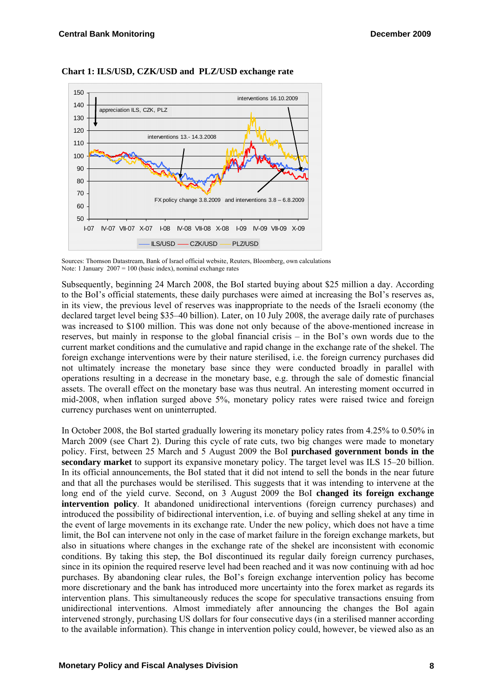

#### **Chart 1: ILS/USD, CZK/USD and PLZ/USD exchange rate**

Sources: Thomson Datastream, Bank of Israel official website, Reuters, Bloomberg, own calculations Note: 1 January  $2007 = 100$  (basic index), nominal exchange rates

Subsequently, beginning 24 March 2008, the BoI started buying about \$25 million a day. According to the BoI's official statements, these daily purchases were aimed at increasing the BoI's reserves as, in its view, the previous level of reserves was inappropriate to the needs of the Israeli economy (the declared target level being \$35–40 billion). Later, on 10 July 2008, the average daily rate of purchases was increased to \$100 million. This was done not only because of the above-mentioned increase in reserves, but mainly in response to the global financial crisis – in the BoI's own words due to the current market conditions and the cumulative and rapid change in the exchange rate of the shekel. The foreign exchange interventions were by their nature sterilised, i.e. the foreign currency purchases did not ultimately increase the monetary base since they were conducted broadly in parallel with operations resulting in a decrease in the monetary base, e.g. through the sale of domestic financial assets. The overall effect on the monetary base was thus neutral. An interesting moment occurred in mid-2008, when inflation surged above 5%, monetary policy rates were raised twice and foreign currency purchases went on uninterrupted.

In October 2008, the BoI started gradually lowering its monetary policy rates from 4.25% to 0.50% in March 2009 (see Chart 2). During this cycle of rate cuts, two big changes were made to monetary policy. First, between 25 March and 5 August 2009 the BoI **purchased government bonds in the secondary market** to support its expansive monetary policy. The target level was ILS 15–20 billion. In its official announcements, the BoI stated that it did not intend to sell the bonds in the near future and that all the purchases would be sterilised. This suggests that it was intending to intervene at the long end of the yield curve. Second, on 3 August 2009 the BoI **changed its foreign exchange intervention policy**. It abandoned unidirectional interventions (foreign currency purchases) and introduced the possibility of bidirectional intervention, i.e. of buying and selling shekel at any time in the event of large movements in its exchange rate. Under the new policy, which does not have a time limit, the BoI can intervene not only in the case of market failure in the foreign exchange markets, but also in situations where changes in the exchange rate of the shekel are inconsistent with economic conditions. By taking this step, the BoI discontinued its regular daily foreign currency purchases, since in its opinion the required reserve level had been reached and it was now continuing with ad hoc purchases. By abandoning clear rules, the BoI's foreign exchange intervention policy has become more discretionary and the bank has introduced more uncertainty into the forex market as regards its intervention plans. This simultaneously reduces the scope for speculative transactions ensuing from unidirectional interventions. Almost immediately after announcing the changes the BoI again intervened strongly, purchasing US dollars for four consecutive days (in a sterilised manner according to the available information). This change in intervention policy could, however, be viewed also as an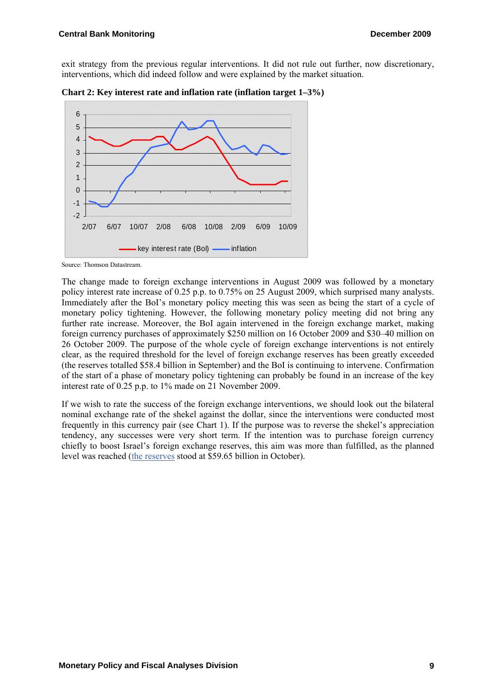exit strategy from the previous regular interventions. It did not rule out further, now discretionary, interventions, which did indeed follow and were explained by the market situation.





The change made to foreign exchange interventions in August 2009 was followed by a monetary policy interest rate increase of 0.25 p.p. to 0.75% on 25 August 2009, which surprised many analysts. Immediately after the BoI's monetary policy meeting this was seen as being the start of a cycle of monetary policy tightening. However, the following monetary policy meeting did not bring any further rate increase. Moreover, the BoI again intervened in the foreign exchange market, making foreign currency purchases of approximately \$250 million on 16 October 2009 and \$30–40 million on 26 October 2009. The purpose of the whole cycle of foreign exchange interventions is not entirely clear, as the required threshold for the level of foreign exchange reserves has been greatly exceeded (the reserves totalled \$58.4 billion in September) and the BoI is continuing to intervene. Confirmation of the start of a phase of monetary policy tightening can probably be found in an increase of the key interest rate of 0.25 p.p. to 1% made on 21 November 2009.

If we wish to rate the success of the foreign exchange interventions, we should look out the bilateral nominal exchange rate of the shekel against the dollar, since the interventions were conducted most frequently in this currency pair (see Chart 1). If the purpose was to reverse the shekel's appreciation tendency, any successes were very short term. If the intention was to purchase foreign currency chiefly to boost Israel's foreign exchange reserves, this aim was more than fulfilled, as the planned level was reached ([the reserves](http://www.bankisrael.gov.il/press/eng/091109/091109m.htm) stood at \$59.65 billion in October).

Source: Thomson Datastream.